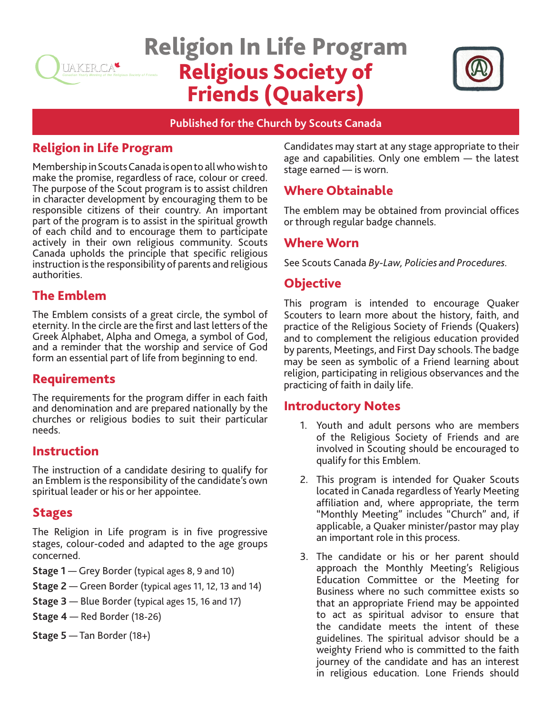

# Religion In Life Program Religious Society of Friends (Quakers)



#### **Published for the Church by Scouts Canada**

# Religion in Life Program

Membership in Scouts Canada is open to all who wish to make the promise, regardless of race, colour or creed. The purpose of the Scout program is to assist children in character development by encouraging them to be responsible citizens of their country. An important part of the program is to assist in the spiritual growth of each child and to encourage them to participate actively in their own religious community. Scouts Canada upholds the principle that specific religious instruction is the responsibility of parents and religious authorities.

# The Emblem

The Emblem consists of a great circle, the symbol of eternity. In the circle are the first and last letters of the Greek Alphabet, Alpha and Omega, a symbol of God, and a reminder that the worship and service of God form an essential part of life from beginning to end.

# Requirements

The requirements for the program differ in each faith and denomination and are prepared nationally by the churches or religious bodies to suit their particular needs.

## Instruction

The instruction of a candidate desiring to qualify for an Emblem is the responsibility of the candidate's own spiritual leader or his or her appointee.

## Stages

The Religion in Life program is in five progressive stages, colour-coded and adapted to the age groups concerned.

- **Stage 1** Grey Border (typical ages 8, 9 and 10)
- **Stage 2** Green Border (typical ages 11, 12, 13 and 14)
- **Stage 3** Blue Border (typical ages 15, 16 and 17)
- **Stage 4** Red Border (18-26)
- **Stage 5** Tan Border (18+)

Candidates may start at any stage appropriate to their age and capabilities. Only one emblem — the latest stage earned –– is worn.

# Where Obtainable

The emblem may be obtained from provincial offices or through regular badge channels.

#### Where Worn

See Scouts Canada *By-Law, Policies and Procedures.* 

# **Objective**

This program is intended to encourage Quaker Scouters to learn more about the history, faith, and practice of the Religious Society of Friends (Quakers) and to complement the religious education provided by parents, Meetings, and First Day schools. The badge may be seen as symbolic of a Friend learning about religion, participating in religious observances and the practicing of faith in daily life.

## Introductory Notes

- 1. Youth and adult persons who are members of the Religious Society of Friends and are involved in Scouting should be encouraged to qualify for this Emblem.
- 2. This program is intended for Quaker Scouts located in Canada regardless of Yearly Meeting affiliation and, where appropriate, the term "Monthly Meeting" includes "Church" and, if applicable, a Quaker minister/pastor may play an important role in this process.
- 3. The candidate or his or her parent should approach the Monthly Meeting's Religious Education Committee or the Meeting for Business where no such committee exists so that an appropriate Friend may be appointed to act as spiritual advisor to ensure that the candidate meets the intent of these guidelines. The spiritual advisor should be a weighty Friend who is committed to the faith journey of the candidate and has an interest in religious education. Lone Friends should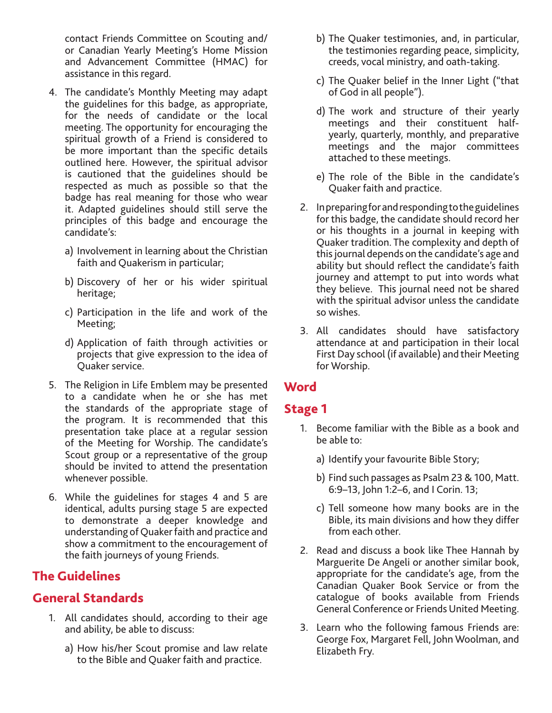contact Friends Committee on Scouting and/ or Canadian Yearly Meeting's Home Mission and Advancement Committee (HMAC) for assistance in this regard.

- 4. The candidate's Monthly Meeting may adapt the guidelines for this badge, as appropriate, for the needs of candidate or the local meeting. The opportunity for encouraging the spiritual growth of a Friend is considered to be more important than the specific details outlined here. However, the spiritual advisor is cautioned that the guidelines should be respected as much as possible so that the badge has real meaning for those who wear it. Adapted guidelines should still serve the principles of this badge and encourage the candidate's:
	- a) Involvement in learning about the Christian faith and Quakerism in particular;
	- b) Discovery of her or his wider spiritual heritage;
	- c) Participation in the life and work of the Meeting;
	- d) Application of faith through activities or projects that give expression to the idea of Quaker service.
- 5. The Religion in Life Emblem may be presented to a candidate when he or she has met the standards of the appropriate stage of the program. It is recommended that this presentation take place at a regular session of the Meeting for Worship. The candidate's Scout group or a representative of the group should be invited to attend the presentation whenever possible.
- 6. While the guidelines for stages 4 and 5 are identical, adults pursing stage 5 are expected to demonstrate a deeper knowledge and understanding of Quaker faith and practice and show a commitment to the encouragement of the faith journeys of young Friends.

# The Guidelines

## General Standards

- 1. All candidates should, according to their age and ability, be able to discuss:
	- a) How his/her Scout promise and law relate to the Bible and Quaker faith and practice.
- b) The Quaker testimonies, and, in particular, the testimonies regarding peace, simplicity, creeds, vocal ministry, and oath-taking.
- c) The Quaker belief in the Inner Light ("that of God in all people").
- d) The work and structure of their yearly meetings and their constituent halfyearly, quarterly, monthly, and preparative meetings and the major committees attached to these meetings.
- e) The role of the Bible in the candidate's Quaker faith and practice.
- 2. In preparing for and responding to the guidelines for this badge, the candidate should record her or his thoughts in a journal in keeping with Quaker tradition. The complexity and depth of this journal depends on the candidate's age and ability but should reflect the candidate's faith journey and attempt to put into words what they believe. This journal need not be shared with the spiritual advisor unless the candidate so wishes.
- 3. All candidates should have satisfactory attendance at and participation in their local First Day school (if available) and their Meeting for Worship.

# **Word**

## Stage 1

- 1. Become familiar with the Bible as a book and be able to:
	- a) Identify your favourite Bible Story;
	- b) Find such passages as Psalm 23 & 100, Matt. 6:9–13, John 1:2–6, and I Corin. 13;
	- c) Tell someone how many books are in the Bible, its main divisions and how they differ from each other.
- 2. Read and discuss a book like Thee Hannah by Marguerite De Angeli or another similar book, appropriate for the candidate's age, from the Canadian Quaker Book Service or from the catalogue of books available from Friends General Conference or Friends United Meeting.
- 3. Learn who the following famous Friends are: George Fox, Margaret Fell, John Woolman, and Elizabeth Fry.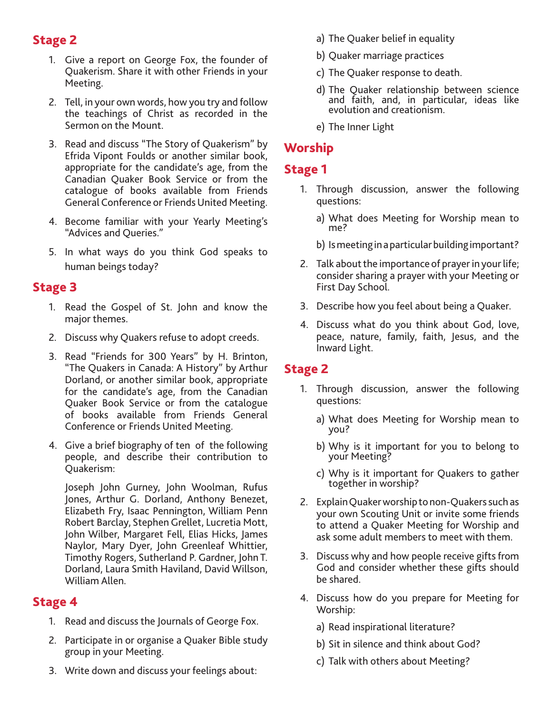## Stage 2

- 1. Give a report on George Fox, the founder of Quakerism. Share it with other Friends in your Meeting.
- 2. Tell, in your own words, how you try and follow the teachings of Christ as recorded in the Sermon on the Mount.
- 3. Read and discuss "The Story of Quakerism" by Efrida Vipont Foulds or another similar book, appropriate for the candidate's age, from the Canadian Quaker Book Service or from the catalogue of books available from Friends General Conference or Friends United Meeting.
- 4. Become familiar with your Yearly Meeting's "Advices and Queries."
- 5. In what ways do you think God speaks to human beings today?

#### Stage 3

- 1. Read the Gospel of St. John and know the major themes.
- 2. Discuss why Quakers refuse to adopt creeds.
- 3. Read "Friends for 300 Years" by H. Brinton, "The Quakers in Canada: A History" by Arthur Dorland, or another similar book, appropriate for the candidate's age, from the Canadian Quaker Book Service or from the catalogue of books available from Friends General Conference or Friends United Meeting.
- 4. Give a brief biography of ten of the following people, and describe their contribution to Quakerism:

Joseph John Gurney, John Woolman, Rufus Jones, Arthur G. Dorland, Anthony Benezet, Elizabeth Fry, Isaac Pennington, William Penn Robert Barclay, Stephen Grellet, Lucretia Mott, John Wilber, Margaret Fell, Elias Hicks, James Naylor, Mary Dyer, John Greenleaf Whittier, Timothy Rogers, Sutherland P. Gardner, John T. Dorland, Laura Smith Haviland, David Willson, William Allen.

## Stage 4

- 1. Read and discuss the Journals of George Fox.
- 2. Participate in or organise a Quaker Bible study group in your Meeting.
- 3. Write down and discuss your feelings about:
- a) The Quaker belief in equality
- b) Quaker marriage practices
- c) The Quaker response to death.
- d) The Quaker relationship between science and faith, and, in particular, ideas like evolution and creationism.
- e) The Inner Light

# Worship

# Stage 1

- 1. Through discussion, answer the following questions:
	- a) What does Meeting for Worship mean to me?
	- b) Is meeting in a particular building important?
- 2. Talk about the importance of prayer in your life; consider sharing a prayer with your Meeting or First Day School.
- 3. Describe how you feel about being a Quaker.
- 4. Discuss what do you think about God, love, peace, nature, family, faith, Jesus, and the Inward Light.

## Stage 2

- 1. Through discussion, answer the following questions:
	- a) What does Meeting for Worship mean to you?
	- b) Why is it important for you to belong to your Meeting?
	- c) Why is it important for Quakers to gather together in worship?
- 2. Explain Quaker worship to non-Quakers such as your own Scouting Unit or invite some friends to attend a Quaker Meeting for Worship and ask some adult members to meet with them.
- 3. Discuss why and how people receive gifts from God and consider whether these gifts should be shared.
- 4. Discuss how do you prepare for Meeting for Worship:
	- a) Read inspirational literature?
	- b) Sit in silence and think about God?
	- c) Talk with others about Meeting?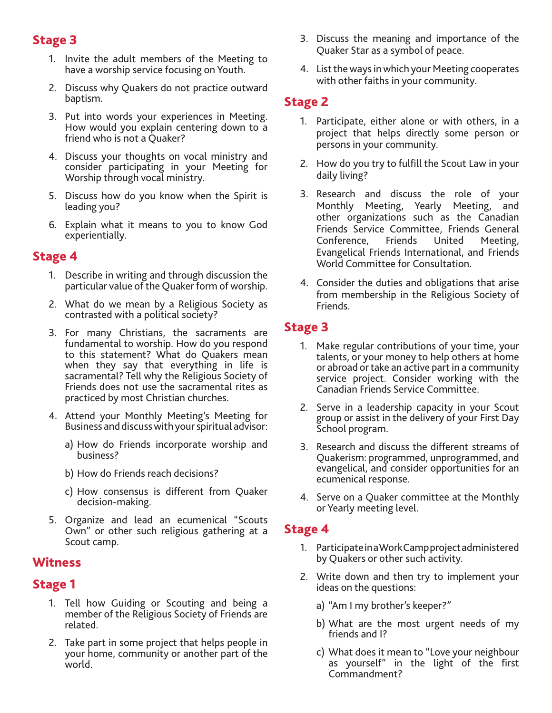#### Stage 3

- 1. Invite the adult members of the Meeting to have a worship service focusing on Youth.
- 2. Discuss why Quakers do not practice outward baptism.
- 3. Put into words your experiences in Meeting. How would you explain centering down to a friend who is not a Quaker?
- 4. Discuss your thoughts on vocal ministry and consider participating in your Meeting for Worship through vocal ministry.
- 5. Discuss how do you know when the Spirit is leading you?
- 6. Explain what it means to you to know God experientially.

#### Stage 4

- 1. Describe in writing and through discussion the particular value of the Quaker form of worship.
- 2. What do we mean by a Religious Society as contrasted with a political society?
- 3. For many Christians, the sacraments are fundamental to worship. How do you respond to this statement? What do Quakers mean when they say that everything in life is sacramental? Tell why the Religious Society of Friends does not use the sacramental rites as practiced by most Christian churches.
- 4. Attend your Monthly Meeting's Meeting for Business and discuss with your spiritual advisor:
	- a) How do Friends incorporate worship and business?
	- b) How do Friends reach decisions?
	- c) How consensus is different from Quaker decision-making.
- 5. Organize and lead an ecumenical "Scouts Own" or other such religious gathering at a Scout camp.

#### **Witness**

#### Stage 1

- 1. Tell how Guiding or Scouting and being a member of the Religious Society of Friends are related.
- 2. Take part in some project that helps people in your home, community or another part of the world.
- 3. Discuss the meaning and importance of the Quaker Star as a symbol of peace.
- 4. List the ways in which your Meeting cooperates with other faiths in your community.

#### Stage 2

- 1. Participate, either alone or with others, in a project that helps directly some person or persons in your community.
- 2. How do you try to fulfill the Scout Law in your daily living?
- 3. Research and discuss the role of your Monthly Meeting, Yearly Meeting, and other organizations such as the Canadian Friends Service Committee, Friends General Conference, Friends United Meeting, Evangelical Friends International, and Friends World Committee for Consultation.
- 4. Consider the duties and obligations that arise from membership in the Religious Society of Friends.

## Stage 3

- 1. Make regular contributions of your time, your talents, or your money to help others at home or abroad or take an active part in a community service project. Consider working with the Canadian Friends Service Committee.
- 2. Serve in a leadership capacity in your Scout group or assist in the delivery of your First Day School program.
- 3. Research and discuss the different streams of Quakerism: programmed, unprogrammed, and evangelical, and consider opportunities for an ecumenical response.
- 4. Serve on a Quaker committee at the Monthly or Yearly meeting level.

#### Stage 4

- 1. Participate in a Work Camp project administered by Quakers or other such activity.
- 2. Write down and then try to implement your ideas on the questions:
	- a) "Am I my brother's keeper?"
	- b) What are the most urgent needs of my friends and I?
	- c) What does it mean to "Love your neighbour as yourself" in the light of the first Commandment?